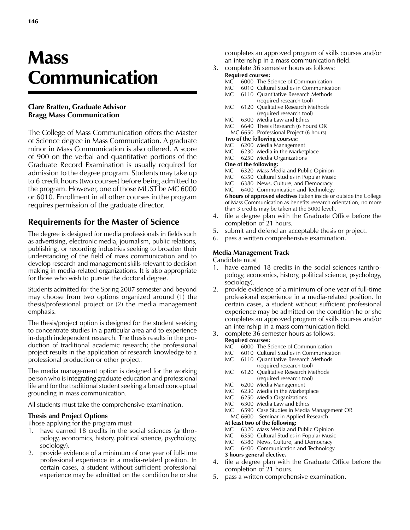# **Mass** Communication

#### **Clare Bratten, Graduate Advisor Bragg Mass Communication**

The College of Mass Communication offers the Master of Science degree in Mass Communication. A graduate minor in Mass Communication is also offered. A score of 900 on the verbal and quantitative portions of the Graduate Record Examination is usually required for admission to the degree program. Students may take up to 6 credit hours (two courses) before being admitted to the program. However, one of those MUST be MC 6000 or 6010. Enrollment in all other courses in the program requires permission of the graduate director.

## **Requirements for the Master of Science**

The degree is designed for media professionals in fields such as advertising, electronic media, journalism, public relations, publishing, or recording industries seeking to broaden their understanding of the field of mass communication and to develop research and management skills relevant to decision making in media-related organizations. It is also appropriate for those who wish to pursue the doctoral degree.

Students admitted for the Spring 2007 semester and beyond may choose from two options organized around (1) the thesis/professional project or (2) the media management emphasis.

The thesis/project option is designed for the student seeking to concentrate studies in a particular area and to experience in-depth independent research. The thesis results in the production of traditional academic research; the professional project results in the application of research knowledge to a professional production or other project.

The media management option is designed for the working person who is integrating graduate education and professional life and for the traditional student seeking a broad conceptual grounding in mass communication.

All students must take the comprehensive examination.

#### **Thesis and Project Options**

Those applying for the program must

- 1. have earned 18 credits in the social sciences (anthropology, economics, history, political science, psychology, sociology).
- 2. provide evidence of a minimum of one year of full-time professional experience in a media-related position. In certain cases, a student without sufficient professional experience may be admitted on the condition he or she

completes an approved program of skills courses and/or an internship in a mass communication field.

3. complete 36 semester hours as follows:

# **Required courses:**<br>MC 6000 The S

- MC 6000 The Science of Communication<br>MC 6010 Cultural Studies in Communicat
- 6010 Cultural Studies in Communication
- MC 6110 Quantitative Research Methods
- (required research tool)<br>MC 6120 Qualitative Research M 6120 Qualitative Research Methods (required research tool)
- 
- MC 6300 Media Law and Ethics<br>MC 6640 Thesis Research (6 hour 6640 Thesis Research (6 hours) OR
- MC 6650 Professional Project (6 hours)

#### **Two of the following courses:**

- MC 6200 Media Management
- MC 6230 Media in the Marketplace
- MC 6250 Media Organizations
- **One of the following:**
- MC 6320 Mass Media and Public Opinion<br>MC 6350 Cultural Studies in Popular Music
- MC 6350 Cultural Studies in Popular Music<br>MC 6380 News Culture and Democracy
- MC 6380 News, Culture, and Democracy<br>MC 6400 Communication and Technology
- 6400 Communication and Technology

**6 hours of approved electives** (taken inside or outside the College of Mass Communication as benefits research orientation; no more than 3 credits may be taken at the 5000 level).

- 4. file a degree plan with the Graduate Office before the completion of 21 hours.
- 5. submit and defend an acceptable thesis or project.
- pass a written comprehensive examination.

#### **Media Management Track**

Candidate must

- 1. have earned 18 credits in the social sciences (anthropology, economics, history, political science, psychology, sociology).
- 2. provide evidence of a minimum of one year of full-time professional experience in a media-related position. In certain cases, a student without sufficient professional experience may be admitted on the condition he or she completes an approved program of skills courses and/or an internship in a mass communication field.
- 3. complete 36 semester hours as follows:

# **Required courses:**<br>MC 6000 The S

- MC 6000 The Science of Communication<br>MC 6010 Cultural Studies in Communicat
- 6010 Cultural Studies in Communication
- MC 6110 Quantitative Research Methods
- (required research tool)<br>MC 6120 Qualitative Research Me 6120 Qualitative Research Methods
- (required research tool)
- MC 6200 Media Management<br>MC 6230 Media in the Market
- MC 6230 Media in the Marketplace<br>MC 6250 Media Organizations 6250 Media Organizations
- 
- MC 6300 Media Law and Ethics<br>MC 6590 Case Studies in Media 6590 Case Studies in Media Management OR
- MC 6600 Seminar in Applied Research
- **At least two of the following:**<br>MC 6320 Mass Media and
- 6320 Mass Media and Public Opinion
- MC 6350 Cultural Studies in Popular Music
- MC 6380 News, Culture, and Democracy<br>MC 6400 Communication and Technology
- 6400 Communication and Technology

### **3 hours general elective.**

- 4. file a degree plan with the Graduate Office before the completion of 21 hours.
- 5. pass a written comprehensive examination.